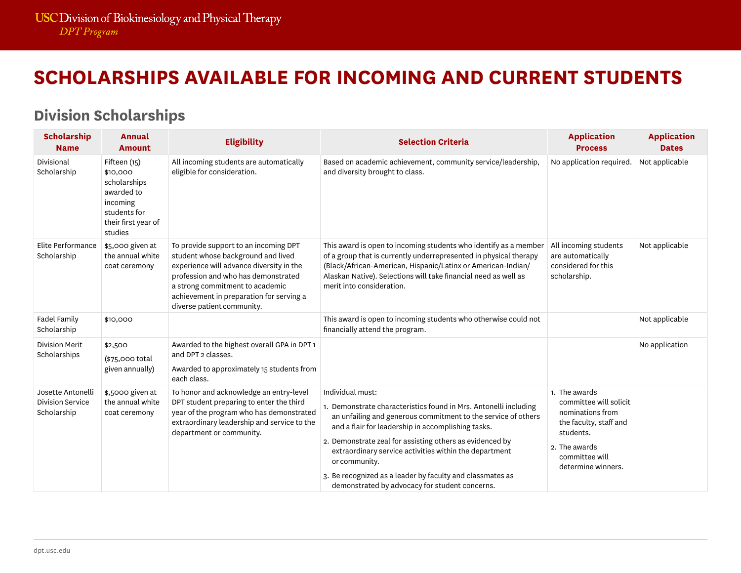# **SCHOLARSHIPS AVAILABLE FOR INCOMING AND CURRENT STUDENTS**

| <b>Scholarship</b><br><b>Name</b>                           | <b>Annual</b><br><b>Amount</b>                                                                                       | <b>Eligibility</b>                                                                                                                                                                                                                                                          | <b>Selection Criteria</b>                                                                                                                                                                                                                                                                                                                                                                                                                                         | <b>Application</b><br><b>Process</b>                                                                                                                        | <b>Application</b><br><b>Dates</b> |
|-------------------------------------------------------------|----------------------------------------------------------------------------------------------------------------------|-----------------------------------------------------------------------------------------------------------------------------------------------------------------------------------------------------------------------------------------------------------------------------|-------------------------------------------------------------------------------------------------------------------------------------------------------------------------------------------------------------------------------------------------------------------------------------------------------------------------------------------------------------------------------------------------------------------------------------------------------------------|-------------------------------------------------------------------------------------------------------------------------------------------------------------|------------------------------------|
| Divisional<br>Scholarship                                   | Fifteen (15)<br>\$10,000<br>scholarships<br>awarded to<br>incoming<br>students for<br>their first year of<br>studies | All incoming students are automatically<br>eligible for consideration.                                                                                                                                                                                                      | Based on academic achievement, community service/leadership,<br>and diversity brought to class.                                                                                                                                                                                                                                                                                                                                                                   | No application required.                                                                                                                                    | Not applicable                     |
| Elite Performance<br>Scholarship                            | \$5,000 given at<br>the annual white<br>coat ceremony                                                                | To provide support to an incoming DPT<br>student whose background and lived<br>experience will advance diversity in the<br>profession and who has demonstrated<br>a strong commitment to academic<br>achievement in preparation for serving a<br>diverse patient community. | This award is open to incoming students who identify as a member<br>of a group that is currently underrepresented in physical therapy<br>(Black/African-American, Hispanic/Latinx or American-Indian/<br>Alaskan Native). Selections will take financial need as well as<br>merit into consideration.                                                                                                                                                             | All incoming students<br>are automatically<br>considered for this<br>scholarship.                                                                           | Not applicable                     |
| <b>Fadel Family</b><br>Scholarship                          | \$10,000                                                                                                             |                                                                                                                                                                                                                                                                             | This award is open to incoming students who otherwise could not<br>financially attend the program.                                                                                                                                                                                                                                                                                                                                                                |                                                                                                                                                             | Not applicable                     |
| <b>Division Merit</b><br>Scholarships                       | \$2,500<br>(\$75,000 total<br>given annually)                                                                        | Awarded to the highest overall GPA in DPT 1<br>and DPT 2 classes.<br>Awarded to approximately 15 students from<br>each class.                                                                                                                                               |                                                                                                                                                                                                                                                                                                                                                                                                                                                                   |                                                                                                                                                             | No application                     |
| Josette Antonelli<br><b>Division Service</b><br>Scholarship | \$,5000 given at<br>the annual white<br>coat ceremony                                                                | To honor and acknowledge an entry-level<br>DPT student preparing to enter the third<br>year of the program who has demonstrated<br>extraordinary leadership and service to the<br>department or community.                                                                  | Individual must:<br>1. Demonstrate characteristics found in Mrs. Antonelli including<br>an unfailing and generous commitment to the service of others<br>and a flair for leadership in accomplishing tasks.<br>2. Demonstrate zeal for assisting others as evidenced by<br>extraordinary service activities within the department<br>or community.<br>3. Be recognized as a leader by faculty and classmates as<br>demonstrated by advocacy for student concerns. | 1. The awards<br>committee will solicit<br>nominations from<br>the faculty, staff and<br>students.<br>2. The awards<br>committee will<br>determine winners. |                                    |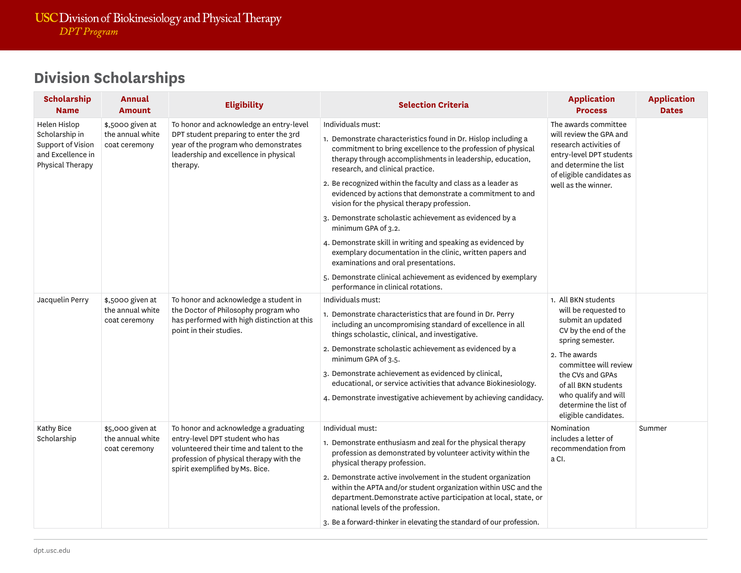| Scholarship<br><b>Name</b>                                                                   | Annual<br><b>Amount</b>                               | <b>Eligibility</b>                                                                                                                                                                                 | <b>Selection Criteria</b>                                                                                                                                                                                                                                                                                                                                                                                                                                                                                                                                                                                                                                                                                                                                                                      | <b>Application</b><br><b>Process</b>                                                                                                                                                                                                                                       | <b>Application</b><br><b>Dates</b> |
|----------------------------------------------------------------------------------------------|-------------------------------------------------------|----------------------------------------------------------------------------------------------------------------------------------------------------------------------------------------------------|------------------------------------------------------------------------------------------------------------------------------------------------------------------------------------------------------------------------------------------------------------------------------------------------------------------------------------------------------------------------------------------------------------------------------------------------------------------------------------------------------------------------------------------------------------------------------------------------------------------------------------------------------------------------------------------------------------------------------------------------------------------------------------------------|----------------------------------------------------------------------------------------------------------------------------------------------------------------------------------------------------------------------------------------------------------------------------|------------------------------------|
| Helen Hislop<br>Scholarship in<br>Support of Vision<br>and Excellence in<br>Physical Therapy | \$,5000 given at<br>the annual white<br>coat ceremony | To honor and acknowledge an entry-level<br>DPT student preparing to enter the 3rd<br>year of the program who demonstrates<br>leadership and excellence in physical<br>therapy.                     | Individuals must:<br>1. Demonstrate characteristics found in Dr. Hislop including a<br>commitment to bring excellence to the profession of physical<br>therapy through accomplishments in leadership, education,<br>research, and clinical practice.<br>2. Be recognized within the faculty and class as a leader as<br>evidenced by actions that demonstrate a commitment to and<br>vision for the physical therapy profession.<br>3. Demonstrate scholastic achievement as evidenced by a<br>minimum GPA of 3.2.<br>4. Demonstrate skill in writing and speaking as evidenced by<br>exemplary documentation in the clinic, written papers and<br>examinations and oral presentations.<br>5. Demonstrate clinical achievement as evidenced by exemplary<br>performance in clinical rotations. | The awards committee<br>will review the GPA and<br>research activities of<br>entry-level DPT students<br>and determine the list<br>of eligible candidates as<br>well as the winner.                                                                                        |                                    |
| Jacquelin Perry                                                                              | \$,5000 given at<br>the annual white<br>coat ceremony | To honor and acknowledge a student in<br>the Doctor of Philosophy program who<br>has performed with high distinction at this<br>point in their studies.                                            | Individuals must:<br>1. Demonstrate characteristics that are found in Dr. Perry<br>including an uncompromising standard of excellence in all<br>things scholastic, clinical, and investigative.<br>2. Demonstrate scholastic achievement as evidenced by a<br>minimum GPA of 3.5.<br>3. Demonstrate achievement as evidenced by clinical,<br>educational, or service activities that advance Biokinesiology.<br>4. Demonstrate investigative achievement by achieving candidacy.                                                                                                                                                                                                                                                                                                               | 1. All BKN students<br>will be requested to<br>submit an updated<br>CV by the end of the<br>spring semester.<br>2. The awards<br>committee will review<br>the CVs and GPAs<br>of all BKN students<br>who qualify and will<br>determine the list of<br>eligible candidates. |                                    |
| Kathy Bice<br>Scholarship                                                                    | \$5,000 given at<br>the annual white<br>coat ceremony | To honor and acknowledge a graduating<br>entry-level DPT student who has<br>volunteered their time and talent to the<br>profession of physical therapy with the<br>spirit exemplified by Ms. Bice. | Individual must:<br>1. Demonstrate enthusiasm and zeal for the physical therapy<br>profession as demonstrated by volunteer activity within the<br>physical therapy profession.<br>2. Demonstrate active involvement in the student organization<br>within the APTA and/or student organization within USC and the<br>department.Demonstrate active participation at local, state, or<br>national levels of the profession.<br>3. Be a forward-thinker in elevating the standard of our profession.                                                                                                                                                                                                                                                                                             | Nomination<br>includes a letter of<br>recommendation from<br>a CI.                                                                                                                                                                                                         | Summer                             |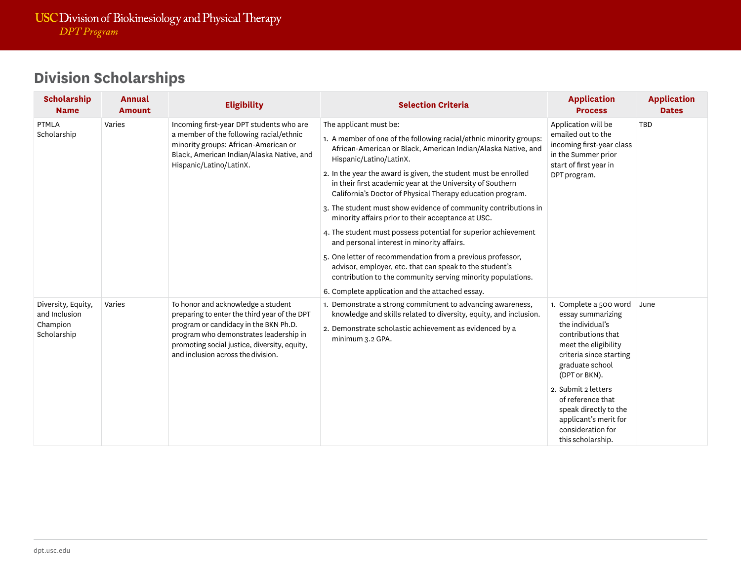| <b>Scholarship</b><br><b>Name</b>                              | <b>Annual</b><br><b>Amount</b> | <b>Eligibility</b>                                                                                                                                                                                                                                          | <b>Selection Criteria</b>                                                                                                                                                                                      | <b>Application</b><br><b>Process</b>                                                                                                                                         | <b>Application</b><br><b>Dates</b> |
|----------------------------------------------------------------|--------------------------------|-------------------------------------------------------------------------------------------------------------------------------------------------------------------------------------------------------------------------------------------------------------|----------------------------------------------------------------------------------------------------------------------------------------------------------------------------------------------------------------|------------------------------------------------------------------------------------------------------------------------------------------------------------------------------|------------------------------------|
| PTMLA                                                          | Varies                         | Incoming first-year DPT students who are<br>a member of the following racial/ethnic<br>minority groups: African-American or<br>Black, American Indian/Alaska Native, and<br>Hispanic/Latino/LatinX.                                                         | The applicant must be:                                                                                                                                                                                         | Application will be                                                                                                                                                          | TBD                                |
| Scholarship                                                    |                                |                                                                                                                                                                                                                                                             | 1. A member of one of the following racial/ethnic minority groups:<br>African-American or Black, American Indian/Alaska Native, and<br>Hispanic/Latino/LatinX.                                                 | emailed out to the<br>incoming first-year class<br>in the Summer prior<br>start of first year in                                                                             |                                    |
|                                                                |                                |                                                                                                                                                                                                                                                             | 2. In the year the award is given, the student must be enrolled<br>in their first academic year at the University of Southern<br>California's Doctor of Physical Therapy education program.                    | DPT program.                                                                                                                                                                 |                                    |
|                                                                |                                |                                                                                                                                                                                                                                                             | 3. The student must show evidence of community contributions in<br>minority affairs prior to their acceptance at USC.                                                                                          |                                                                                                                                                                              |                                    |
|                                                                |                                |                                                                                                                                                                                                                                                             | 4. The student must possess potential for superior achievement<br>and personal interest in minority affairs.                                                                                                   |                                                                                                                                                                              |                                    |
|                                                                |                                |                                                                                                                                                                                                                                                             | 5. One letter of recommendation from a previous professor,<br>advisor, employer, etc. that can speak to the student's<br>contribution to the community serving minority populations.                           |                                                                                                                                                                              |                                    |
|                                                                |                                |                                                                                                                                                                                                                                                             | 6. Complete application and the attached essay.                                                                                                                                                                |                                                                                                                                                                              |                                    |
| Diversity, Equity,<br>and Inclusion<br>Champion<br>Scholarship | Varies                         | To honor and acknowledge a student<br>preparing to enter the third year of the DPT<br>program or candidacy in the BKN Ph.D.<br>program who demonstrates leadership in<br>promoting social justice, diversity, equity,<br>and inclusion across the division. | 1. Demonstrate a strong commitment to advancing awareness,<br>knowledge and skills related to diversity, equity, and inclusion.<br>2. Demonstrate scholastic achievement as evidenced by a<br>minimum 3.2 GPA. | 1. Complete a 500 word<br>essay summarizing<br>the individual's<br>contributions that<br>meet the eligibility<br>criteria since starting<br>graduate school<br>(DPT or BKN). | June                               |
|                                                                |                                |                                                                                                                                                                                                                                                             |                                                                                                                                                                                                                | 2. Submit 2 letters<br>of reference that<br>speak directly to the<br>applicant's merit for<br>consideration for<br>this scholarship.                                         |                                    |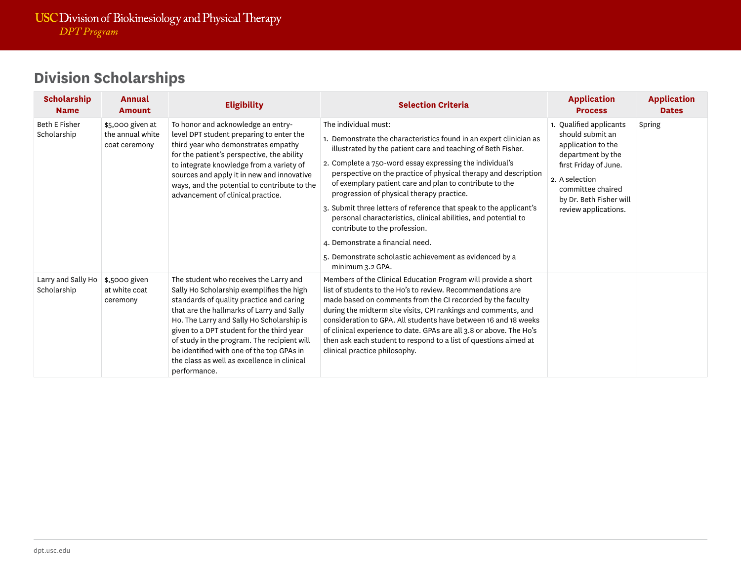| <b>Scholarship</b><br><b>Name</b>   | Annual<br><b>Amount</b>                               | <b>Eligibility</b>                                                                                                                                                                                                                                                                                                                                                                                                                | <b>Selection Criteria</b>                                                                                                                                                                                                                                                                                                                                                                                                                                                                                                                                                                                                                                                                     | <b>Application</b><br><b>Process</b>                                                                                                                                                                      | <b>Application</b><br><b>Dates</b> |
|-------------------------------------|-------------------------------------------------------|-----------------------------------------------------------------------------------------------------------------------------------------------------------------------------------------------------------------------------------------------------------------------------------------------------------------------------------------------------------------------------------------------------------------------------------|-----------------------------------------------------------------------------------------------------------------------------------------------------------------------------------------------------------------------------------------------------------------------------------------------------------------------------------------------------------------------------------------------------------------------------------------------------------------------------------------------------------------------------------------------------------------------------------------------------------------------------------------------------------------------------------------------|-----------------------------------------------------------------------------------------------------------------------------------------------------------------------------------------------------------|------------------------------------|
| <b>Beth E Fisher</b><br>Scholarship | \$5,000 given at<br>the annual white<br>coat ceremony | To honor and acknowledge an entry-<br>level DPT student preparing to enter the<br>third year who demonstrates empathy<br>for the patient's perspective, the ability<br>to integrate knowledge from a variety of<br>sources and apply it in new and innovative<br>ways, and the potential to contribute to the<br>advancement of clinical practice.                                                                                | The individual must:<br>1. Demonstrate the characteristics found in an expert clinician as<br>illustrated by the patient care and teaching of Beth Fisher.<br>2. Complete a 750-word essay expressing the individual's<br>perspective on the practice of physical therapy and description<br>of exemplary patient care and plan to contribute to the<br>progression of physical therapy practice.<br>3. Submit three letters of reference that speak to the applicant's<br>personal characteristics, clinical abilities, and potential to<br>contribute to the profession.<br>4. Demonstrate a financial need.<br>5. Demonstrate scholastic achievement as evidenced by a<br>minimum 3.2 GPA. | 1. Qualified applicants<br>should submit an<br>application to the<br>department by the<br>first Friday of June.<br>2. A selection<br>committee chaired<br>by Dr. Beth Fisher will<br>review applications. | Spring                             |
| Larry and Sally Ho<br>Scholarship   | \$,5000 given<br>at white coat<br>ceremony            | The student who receives the Larry and<br>Sally Ho Scholarship exemplifies the high<br>standards of quality practice and caring<br>that are the hallmarks of Larry and Sally<br>Ho. The Larry and Sally Ho Scholarship is<br>given to a DPT student for the third year<br>of study in the program. The recipient will<br>be identified with one of the top GPAs in<br>the class as well as excellence in clinical<br>performance. | Members of the Clinical Education Program will provide a short<br>list of students to the Ho's to review. Recommendations are<br>made based on comments from the CI recorded by the faculty<br>during the midterm site visits, CPI rankings and comments, and<br>consideration to GPA. All students have between 16 and 18 weeks<br>of clinical experience to date. GPAs are all 3.8 or above. The Ho's<br>then ask each student to respond to a list of questions aimed at<br>clinical practice philosophy.                                                                                                                                                                                  |                                                                                                                                                                                                           |                                    |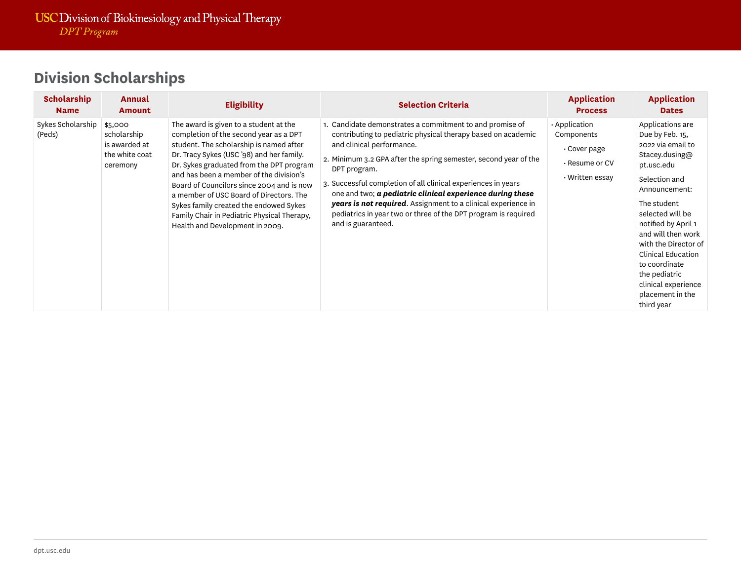| <b>Scholarship</b><br><b>Name</b> | Annual<br><b>Amount</b>                                               | <b>Eligibility</b>                                                                                                                                                                                                                                                                                                                                                                                                                                                                  | <b>Selection Criteria</b>                                                                                                                                                                                                                                                                                                                                                                                                                                                                                                          | <b>Application</b><br><b>Process</b>                                                         | <b>Application</b><br><b>Dates</b>                                                                                                                                                                                                                                                                                                                         |
|-----------------------------------|-----------------------------------------------------------------------|-------------------------------------------------------------------------------------------------------------------------------------------------------------------------------------------------------------------------------------------------------------------------------------------------------------------------------------------------------------------------------------------------------------------------------------------------------------------------------------|------------------------------------------------------------------------------------------------------------------------------------------------------------------------------------------------------------------------------------------------------------------------------------------------------------------------------------------------------------------------------------------------------------------------------------------------------------------------------------------------------------------------------------|----------------------------------------------------------------------------------------------|------------------------------------------------------------------------------------------------------------------------------------------------------------------------------------------------------------------------------------------------------------------------------------------------------------------------------------------------------------|
| Sykes Scholarship<br>(Peds)       | \$5,000<br>scholarship<br>is awarded at<br>the white coat<br>ceremony | The award is given to a student at the<br>completion of the second year as a DPT<br>student. The scholarship is named after<br>Dr. Tracy Sykes (USC '98) and her family.<br>Dr. Sykes graduated from the DPT program<br>and has been a member of the division's<br>Board of Councilors since 2004 and is now<br>a member of USC Board of Directors. The<br>Sykes family created the endowed Sykes<br>Family Chair in Pediatric Physical Therapy,<br>Health and Development in 2009. | 1. Candidate demonstrates a commitment to and promise of<br>contributing to pediatric physical therapy based on academic<br>and clinical performance.<br>2. Minimum 3.2 GPA after the spring semester, second year of the<br>DPT program.<br>3. Successful completion of all clinical experiences in years<br>one and two; $a$ pediatric clinical experience during these<br>years is not required. Assignment to a clinical experience in<br>pediatrics in year two or three of the DPT program is required<br>and is guaranteed. | $\cdot$ Application<br>Components<br>$\cdot$ Cover page<br>. Resume or CV<br>• Written essay | Applications are<br>Due by Feb. 15,<br>2022 via email to<br>Stacey.dusing@<br>pt.usc.edu<br>Selection and<br>Announcement:<br>The student<br>selected will be<br>notified by April 1<br>and will then work<br>with the Director of<br><b>Clinical Education</b><br>to coordinate<br>the pediatric<br>clinical experience<br>placement in the<br>third year |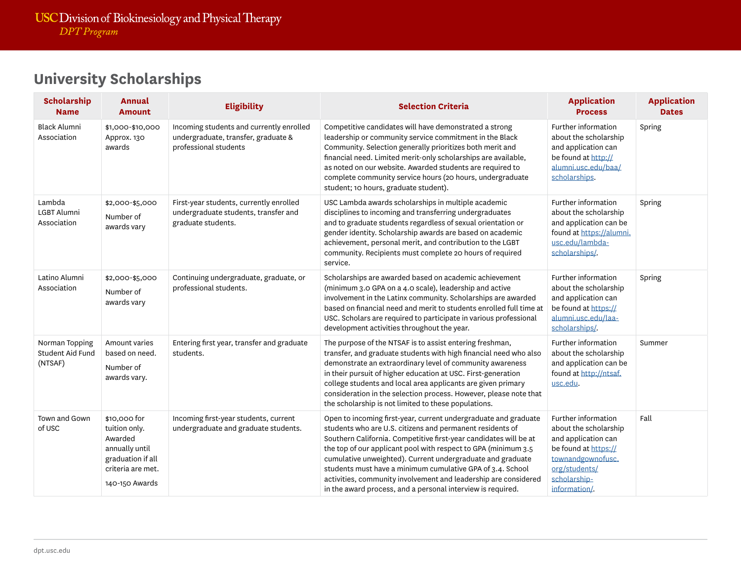### **University Scholarships**

| <b>Scholarship</b><br><b>Name</b>                    | <b>Annual</b><br><b>Amount</b>                                                                                         | <b>Eligibility</b>                                                                                       | <b>Selection Criteria</b>                                                                                                                                                                                                                                                                                                                                                                                                                                                                                                         | <b>Application</b><br><b>Process</b>                                                                                                                               | <b>Application</b><br><b>Dates</b> |
|------------------------------------------------------|------------------------------------------------------------------------------------------------------------------------|----------------------------------------------------------------------------------------------------------|-----------------------------------------------------------------------------------------------------------------------------------------------------------------------------------------------------------------------------------------------------------------------------------------------------------------------------------------------------------------------------------------------------------------------------------------------------------------------------------------------------------------------------------|--------------------------------------------------------------------------------------------------------------------------------------------------------------------|------------------------------------|
| <b>Black Alumni</b><br>Association                   | \$1,000-\$10,000<br>Approx. 130<br>awards                                                                              | Incoming students and currently enrolled<br>undergraduate, transfer, graduate &<br>professional students | Competitive candidates will have demonstrated a strong<br>leadership or community service commitment in the Black<br>Community. Selection generally prioritizes both merit and<br>financial need. Limited merit-only scholarships are available,<br>as noted on our website. Awarded students are required to<br>complete community service hours (20 hours, undergraduate<br>student; 10 hours, graduate student).                                                                                                               | Further information<br>about the scholarship<br>and application can<br>be found at http://<br>alumni.usc.edu/baa/<br>scholarships.                                 | Spring                             |
| Lambda<br><b>LGBT Alumni</b><br>Association          | \$2,000-\$5,000<br>Number of<br>awards vary                                                                            | First-year students, currently enrolled<br>undergraduate students, transfer and<br>graduate students.    | USC Lambda awards scholarships in multiple academic<br>disciplines to incoming and transferring undergraduates<br>and to graduate students regardless of sexual orientation or<br>gender identity. Scholarship awards are based on academic<br>achievement, personal merit, and contribution to the LGBT<br>community. Recipients must complete 20 hours of required<br>service.                                                                                                                                                  | Further information<br>about the scholarship<br>and application can be<br>found at https://alumni.<br>usc.edu/lambda-<br>scholarships/.                            | Spring                             |
| Latino Alumni<br>Association                         | \$2,000-\$5,000<br>Number of<br>awards vary                                                                            | Continuing undergraduate, graduate, or<br>professional students.                                         | Scholarships are awarded based on academic achievement<br>(minimum 3.0 GPA on a 4.0 scale), leadership and active<br>involvement in the Latinx community. Scholarships are awarded<br>based on financial need and merit to students enrolled full time at<br>USC. Scholars are required to participate in various professional<br>development activities throughout the year.                                                                                                                                                     | Further information<br>about the scholarship<br>and application can<br>be found at https://<br>alumni.usc.edu/laa-<br>scholarships/.                               | Spring                             |
| Norman Topping<br><b>Student Aid Fund</b><br>(NTSAF) | Amount varies<br>based on need.<br>Number of<br>awards vary.                                                           | Entering first year, transfer and graduate<br>students.                                                  | The purpose of the NTSAF is to assist entering freshman,<br>transfer, and graduate students with high financial need who also<br>demonstrate an extraordinary level of community awareness<br>in their pursuit of higher education at USC. First-generation<br>college students and local area applicants are given primary<br>consideration in the selection process. However, please note that<br>the scholarship is not limited to these populations.                                                                          | Further information<br>about the scholarship<br>and application can be<br>found at http://ntsaf.<br>usc.edu.                                                       | Summer                             |
| Town and Gown<br>of USC                              | \$10,000 for<br>tuition only.<br>Awarded<br>annually until<br>graduation if all<br>criteria are met.<br>140-150 Awards | Incoming first-year students, current<br>undergraduate and graduate students.                            | Open to incoming first-year, current undergraduate and graduate<br>students who are U.S. citizens and permanent residents of<br>Southern California. Competitive first-year candidates will be at<br>the top of our applicant pool with respect to GPA (minimum 3.5<br>cumulative unweighted). Current undergraduate and graduate<br>students must have a minimum cumulative GPA of 3.4. School<br>activities, community involvement and leadership are considered<br>in the award process, and a personal interview is required. | Further information<br>about the scholarship<br>and application can<br>be found at https://<br>townandgownofusc.<br>org/students/<br>scholarship-<br>information/. | Fall                               |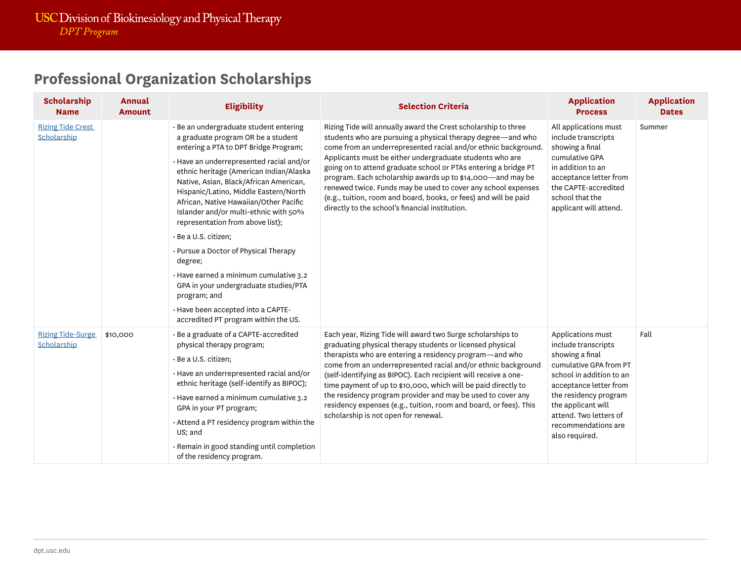### **Professional Organization Scholarships**

| <b>Scholarship</b><br><b>Name</b>       | <b>Annual</b><br><b>Amount</b> | <b>Eligibility</b>                                                                                                                                                                                                                                                                                                                                                                                                                                                                                                                                                                                                                                                                  | <b>Selection Criteria</b>                                                                                                                                                                                                                                                                                                                                                                                                                                                                                                                                                            | <b>Application</b><br><b>Process</b>                                                                                                                                                                                                                          | <b>Application</b><br><b>Dates</b> |
|-----------------------------------------|--------------------------------|-------------------------------------------------------------------------------------------------------------------------------------------------------------------------------------------------------------------------------------------------------------------------------------------------------------------------------------------------------------------------------------------------------------------------------------------------------------------------------------------------------------------------------------------------------------------------------------------------------------------------------------------------------------------------------------|--------------------------------------------------------------------------------------------------------------------------------------------------------------------------------------------------------------------------------------------------------------------------------------------------------------------------------------------------------------------------------------------------------------------------------------------------------------------------------------------------------------------------------------------------------------------------------------|---------------------------------------------------------------------------------------------------------------------------------------------------------------------------------------------------------------------------------------------------------------|------------------------------------|
| <b>Rizing Tide Crest</b><br>Scholarship |                                | · Be an undergraduate student entering<br>a graduate program OR be a student<br>entering a PTA to DPT Bridge Program;<br>· Have an underrepresented racial and/or<br>ethnic heritage (American Indian/Alaska<br>Native, Asian, Black/African American,<br>Hispanic/Latino, Middle Eastern/North<br>African, Native Hawaiian/Other Pacific<br>Islander and/or multi-ethnic with 50%<br>representation from above list);<br>· Be a U.S. citizen;<br>• Pursue a Doctor of Physical Therapy<br>degree;<br>· Have earned a minimum cumulative 3.2<br>GPA in your undergraduate studies/PTA<br>program; and<br>· Have been accepted into a CAPTE-<br>accredited PT program within the US. | Rizing Tide will annually award the Crest scholarship to three<br>students who are pursuing a physical therapy degree-and who<br>come from an underrepresented racial and/or ethnic background.<br>Applicants must be either undergraduate students who are<br>going on to attend graduate school or PTAs entering a bridge PT<br>program. Each scholarship awards up to \$14,000-and may be<br>renewed twice. Funds may be used to cover any school expenses<br>(e.g., tuition, room and board, books, or fees) and will be paid<br>directly to the school's financial institution. | All applications must<br>include transcripts<br>showing a final<br>cumulative GPA<br>in addition to an<br>acceptance letter from<br>the CAPTE-accredited<br>school that the<br>applicant will attend.                                                         | Summer                             |
| <b>Rizing Tide-Surge</b><br>Scholarship | \$10,000                       | · Be a graduate of a CAPTE-accredited<br>physical therapy program;<br>· Be a U.S. citizen;<br>· Have an underrepresented racial and/or<br>ethnic heritage (self-identify as BIPOC);<br>· Have earned a minimum cumulative 3.2<br>GPA in your PT program;<br>. Attend a PT residency program within the<br>US; and<br>· Remain in good standing until completion<br>of the residency program.                                                                                                                                                                                                                                                                                        | Each year, Rizing Tide will award two Surge scholarships to<br>graduating physical therapy students or licensed physical<br>therapists who are entering a residency program-and who<br>come from an underrepresented racial and/or ethnic background<br>(self-identifying as BIPOC). Each recipient will receive a one-<br>time payment of up to \$10,000, which will be paid directly to<br>the residency program provider and may be used to cover any<br>residency expenses (e.g., tuition, room and board, or fees). This<br>scholarship is not open for renewal.                | Applications must<br>include transcripts<br>showing a final<br>cumulative GPA from PT<br>school in addition to an<br>acceptance letter from<br>the residency program<br>the applicant will<br>attend. Two letters of<br>recommendations are<br>also required. | Fall                               |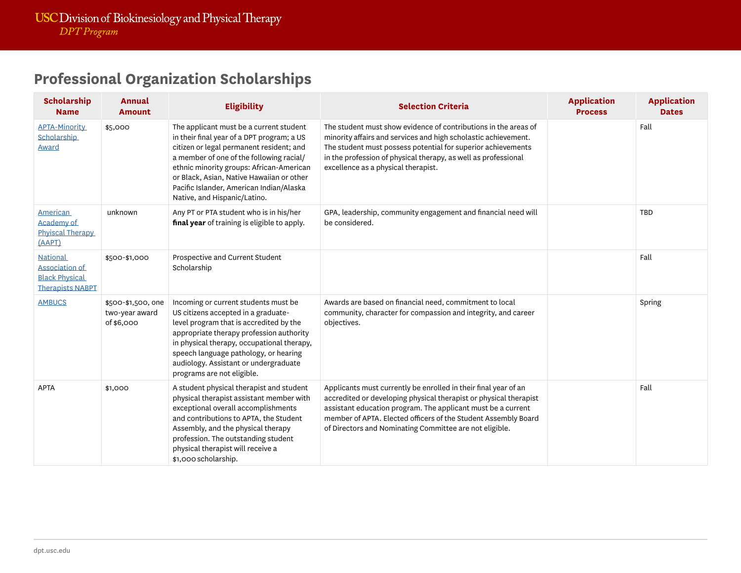### **Professional Organization Scholarships**

| <b>Scholarship</b><br><b>Name</b>                                                     | <b>Annual</b><br><b>Amount</b>                     | <b>Eligibility</b>                                                                                                                                                                                                                                                                                                                                 | <b>Selection Criteria</b>                                                                                                                                                                                                                                                                                                         | <b>Application</b><br><b>Process</b> | <b>Application</b><br><b>Dates</b> |
|---------------------------------------------------------------------------------------|----------------------------------------------------|----------------------------------------------------------------------------------------------------------------------------------------------------------------------------------------------------------------------------------------------------------------------------------------------------------------------------------------------------|-----------------------------------------------------------------------------------------------------------------------------------------------------------------------------------------------------------------------------------------------------------------------------------------------------------------------------------|--------------------------------------|------------------------------------|
| <b>APTA-Minority</b><br>Scholarship<br><b>Award</b>                                   | \$5,000                                            | The applicant must be a current student<br>in their final year of a DPT program; a US<br>citizen or legal permanent resident; and<br>a member of one of the following racial/<br>ethnic minority groups: African-American<br>or Black, Asian, Native Hawaiian or other<br>Pacific Islander, American Indian/Alaska<br>Native, and Hispanic/Latino. | The student must show evidence of contributions in the areas of<br>minority affairs and services and high scholastic achievement.<br>The student must possess potential for superior achievements<br>in the profession of physical therapy, as well as professional<br>excellence as a physical therapist.                        |                                      | Fall                               |
| <b>American</b><br>Academy of<br>Phyiscal Therapy<br>(AAPT)                           | unknown                                            | Any PT or PTA student who is in his/her<br>final year of training is eligible to apply.                                                                                                                                                                                                                                                            | GPA, leadership, community engagement and financial need will<br>be considered.                                                                                                                                                                                                                                                   |                                      | TBD                                |
| <b>National</b><br>Association of<br><b>Black Physical</b><br><b>Therapists NABPT</b> | \$500-\$1,000                                      | Prospective and Current Student<br>Scholarship                                                                                                                                                                                                                                                                                                     |                                                                                                                                                                                                                                                                                                                                   |                                      | Fall                               |
| <b>AMBUCS</b>                                                                         | \$500-\$1,500, one<br>two-year award<br>of \$6,000 | Incoming or current students must be<br>US citizens accepted in a graduate-<br>level program that is accredited by the<br>appropriate therapy profession authority<br>in physical therapy, occupational therapy,<br>speech language pathology, or hearing<br>audiology. Assistant or undergraduate<br>programs are not eligible.                   | Awards are based on financial need, commitment to local<br>community, character for compassion and integrity, and career<br>objectives.                                                                                                                                                                                           |                                      | Spring                             |
| <b>APTA</b>                                                                           | \$1,000                                            | A student physical therapist and student<br>physical therapist assistant member with<br>exceptional overall accomplishments<br>and contributions to APTA, the Student<br>Assembly, and the physical therapy<br>profession. The outstanding student<br>physical therapist will receive a<br>\$1,000 scholarship.                                    | Applicants must currently be enrolled in their final year of an<br>accredited or developing physical therapist or physical therapist<br>assistant education program. The applicant must be a current<br>member of APTA. Elected officers of the Student Assembly Board<br>of Directors and Nominating Committee are not eligible. |                                      | Fall                               |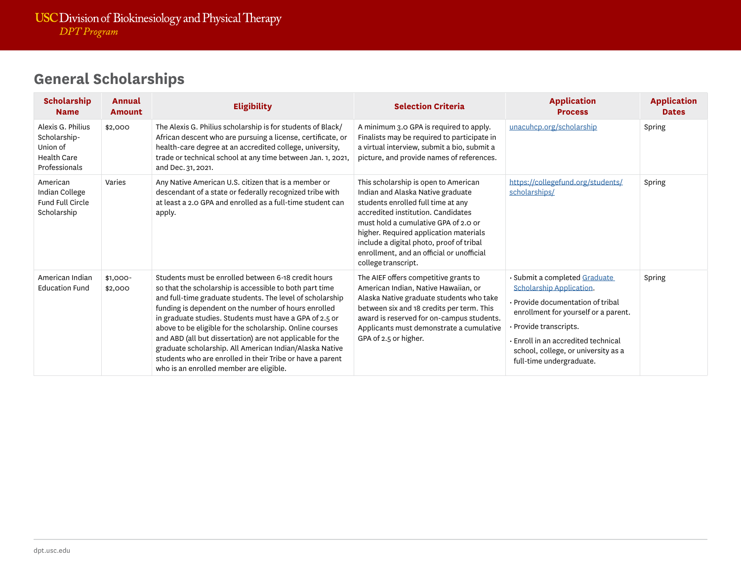| <b>Scholarship</b><br><b>Name</b>                                                    | Annual<br><b>Amount</b> | <b>Eligibility</b>                                                                                                                                                                                                                                                                                                                                                                                                                                                                                                                                                                         | <b>Selection Criteria</b>                                                                                                                                                                                                                                                                                                                               | <b>Application</b><br><b>Process</b>                                                                                                                                                                                                                                     | <b>Application</b><br><b>Dates</b> |
|--------------------------------------------------------------------------------------|-------------------------|--------------------------------------------------------------------------------------------------------------------------------------------------------------------------------------------------------------------------------------------------------------------------------------------------------------------------------------------------------------------------------------------------------------------------------------------------------------------------------------------------------------------------------------------------------------------------------------------|---------------------------------------------------------------------------------------------------------------------------------------------------------------------------------------------------------------------------------------------------------------------------------------------------------------------------------------------------------|--------------------------------------------------------------------------------------------------------------------------------------------------------------------------------------------------------------------------------------------------------------------------|------------------------------------|
| Alexis G. Philius<br>Scholarship-<br>Union of<br><b>Health Care</b><br>Professionals | \$2,000                 | The Alexis G. Philius scholarship is for students of Black/<br>African descent who are pursuing a license, certificate, or<br>health-care degree at an accredited college, university,<br>trade or technical school at any time between Jan. 1, 2021,<br>and Dec. 31, 2021.                                                                                                                                                                                                                                                                                                                | A minimum 3.0 GPA is required to apply.<br>Finalists may be required to participate in<br>a virtual interview, submit a bio, submit a<br>picture, and provide names of references.                                                                                                                                                                      | unacuhcp.org/scholarship                                                                                                                                                                                                                                                 | Spring                             |
| American<br>Indian College<br><b>Fund Full Circle</b><br>Scholarship                 | Varies                  | Any Native American U.S. citizen that is a member or<br>descendant of a state or federally recognized tribe with<br>at least a 2.0 GPA and enrolled as a full-time student can<br>apply.                                                                                                                                                                                                                                                                                                                                                                                                   | This scholarship is open to American<br>Indian and Alaska Native graduate<br>students enrolled full time at any<br>accredited institution. Candidates<br>must hold a cumulative GPA of 2.0 or<br>higher. Required application materials<br>include a digital photo, proof of tribal<br>enrollment, and an official or unofficial<br>college transcript. | https://collegefund.org/students/<br>scholarships/                                                                                                                                                                                                                       | Spring                             |
| American Indian<br><b>Education Fund</b>                                             | $$1,000-$<br>\$2,000    | Students must be enrolled between 6-18 credit hours<br>so that the scholarship is accessible to both part time<br>and full-time graduate students. The level of scholarship<br>funding is dependent on the number of hours enrolled<br>in graduate studies. Students must have a GPA of 2.5 or<br>above to be eligible for the scholarship. Online courses<br>and ABD (all but dissertation) are not applicable for the<br>graduate scholarship. All American Indian/Alaska Native<br>students who are enrolled in their Tribe or have a parent<br>who is an enrolled member are eligible. | The AIEF offers competitive grants to<br>American Indian, Native Hawaiian, or<br>Alaska Native graduate students who take<br>between six and 18 credits per term. This<br>award is reserved for on-campus students.<br>Applicants must demonstrate a cumulative<br>GPA of 2.5 or higher.                                                                | · Submit a completed Graduate<br>Scholarship Application.<br>· Provide documentation of tribal<br>enrollment for yourself or a parent.<br>· Provide transcripts.<br>Enroll in an accredited technical<br>school, college, or university as a<br>full-time undergraduate. | Spring                             |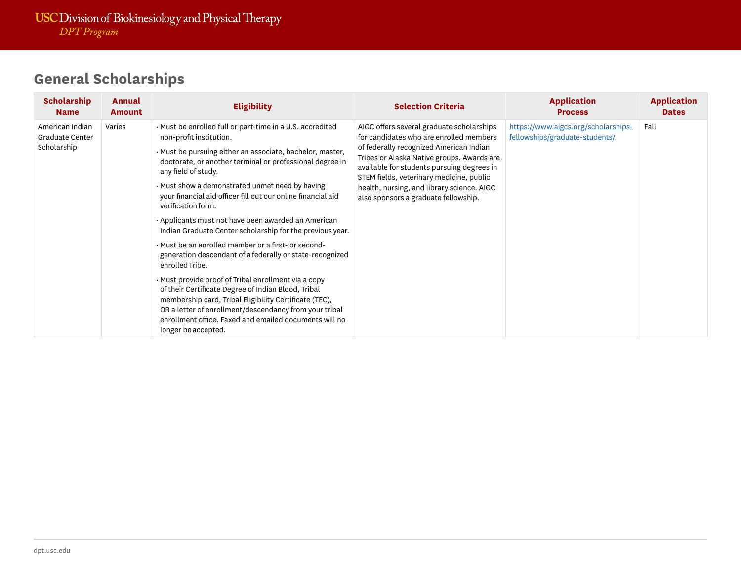| <b>Scholarship</b><br><b>Name</b>                        | Annual<br><b>Amount</b> | <b>Eligibility</b>                                                                                                                                                                                                                                                                                                                                                                                                                                                                                                                                                                                                                                                                                                                                                                                                                                                                                                                                          | <b>Selection Criteria</b>                                                                                                                                                                                                                                                                                                                                     | <b>Application</b><br><b>Process</b>                                  | <b>Application</b><br><b>Dates</b> |
|----------------------------------------------------------|-------------------------|-------------------------------------------------------------------------------------------------------------------------------------------------------------------------------------------------------------------------------------------------------------------------------------------------------------------------------------------------------------------------------------------------------------------------------------------------------------------------------------------------------------------------------------------------------------------------------------------------------------------------------------------------------------------------------------------------------------------------------------------------------------------------------------------------------------------------------------------------------------------------------------------------------------------------------------------------------------|---------------------------------------------------------------------------------------------------------------------------------------------------------------------------------------------------------------------------------------------------------------------------------------------------------------------------------------------------------------|-----------------------------------------------------------------------|------------------------------------|
| American Indian<br><b>Graduate Center</b><br>Scholarship | Varies                  | . Must be enrolled full or part-time in a U.S. accredited<br>non-profit institution.<br>· Must be pursuing either an associate, bachelor, master,<br>doctorate, or another terminal or professional degree in<br>any field of study.<br>• Must show a demonstrated unmet need by having<br>your financial aid officer fill out our online financial aid<br>verification form.<br>• Applicants must not have been awarded an American<br>Indian Graduate Center scholarship for the previous year.<br>• Must be an enrolled member or a first- or second-<br>generation descendant of a federally or state-recognized<br>enrolled Tribe.<br>· Must provide proof of Tribal enrollment via a copy<br>of their Certificate Degree of Indian Blood, Tribal<br>membership card, Tribal Eligibility Certificate (TEC),<br>OR a letter of enrollment/descendancy from your tribal<br>enrollment office. Faxed and emailed documents will no<br>longer be accepted. | AIGC offers several graduate scholarships<br>for candidates who are enrolled members<br>of federally recognized American Indian<br>Tribes or Alaska Native groups. Awards are<br>available for students pursuing degrees in<br>STEM fields, veterinary medicine, public<br>health, nursing, and library science. AIGC<br>also sponsors a graduate fellowship. | https://www.aigcs.org/scholarships-<br>fellowships/graduate-students/ | Fall                               |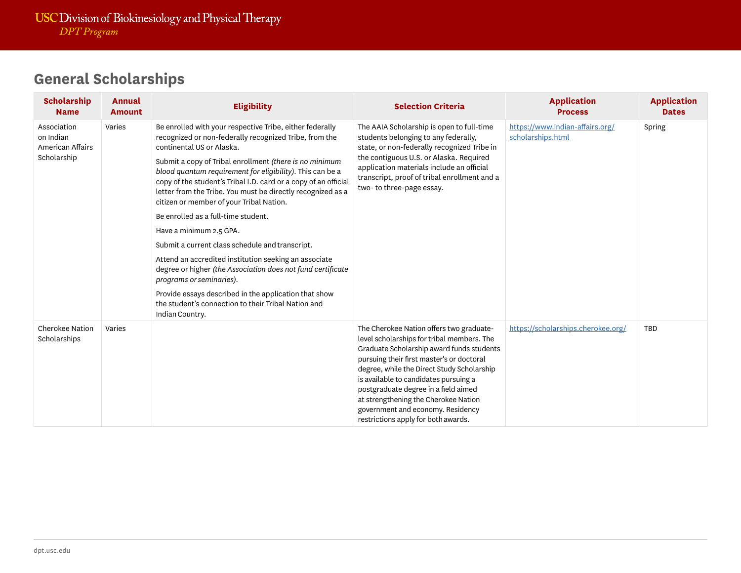| <b>Scholarship</b><br><b>Name</b>                           | Annual<br><b>Amount</b> | <b>Eligibility</b>                                                                                                                                                                                                                                                                                                                                                                                                                                                                                                                                                                                                                                                                                                                                                                                                                                                | <b>Selection Criteria</b>                                                                                                                                                                                                                                                                                                                                                                                                           | <b>Application</b><br><b>Process</b>                 | <b>Application</b><br><b>Dates</b> |
|-------------------------------------------------------------|-------------------------|-------------------------------------------------------------------------------------------------------------------------------------------------------------------------------------------------------------------------------------------------------------------------------------------------------------------------------------------------------------------------------------------------------------------------------------------------------------------------------------------------------------------------------------------------------------------------------------------------------------------------------------------------------------------------------------------------------------------------------------------------------------------------------------------------------------------------------------------------------------------|-------------------------------------------------------------------------------------------------------------------------------------------------------------------------------------------------------------------------------------------------------------------------------------------------------------------------------------------------------------------------------------------------------------------------------------|------------------------------------------------------|------------------------------------|
| Association<br>on Indian<br>American Affairs<br>Scholarship | Varies                  | Be enrolled with your respective Tribe, either federally<br>recognized or non-federally recognized Tribe, from the<br>continental US or Alaska.<br>Submit a copy of Tribal enrollment (there is no minimum<br>blood quantum requirement for eligibility). This can be a<br>copy of the student's Tribal I.D. card or a copy of an official<br>letter from the Tribe. You must be directly recognized as a<br>citizen or member of your Tribal Nation.<br>Be enrolled as a full-time student.<br>Have a minimum 2.5 GPA.<br>Submit a current class schedule and transcript.<br>Attend an accredited institution seeking an associate<br>degree or higher (the Association does not fund certificate<br>programs or seminaries).<br>Provide essays described in the application that show<br>the student's connection to their Tribal Nation and<br>Indian Country. | The AAIA Scholarship is open to full-time<br>students belonging to any federally,<br>state, or non-federally recognized Tribe in<br>the contiguous U.S. or Alaska. Required<br>application materials include an official<br>transcript, proof of tribal enrollment and a<br>two-to three-page essay.                                                                                                                                | https://www.indian-affairs.org/<br>scholarships.html | Spring                             |
| <b>Cherokee Nation</b><br>Scholarships                      | Varies                  |                                                                                                                                                                                                                                                                                                                                                                                                                                                                                                                                                                                                                                                                                                                                                                                                                                                                   | The Cherokee Nation offers two graduate-<br>level scholarships for tribal members. The<br>Graduate Scholarship award funds students<br>pursuing their first master's or doctoral<br>degree, while the Direct Study Scholarship<br>is available to candidates pursuing a<br>postgraduate degree in a field aimed<br>at strengthening the Cherokee Nation<br>government and economy. Residency<br>restrictions apply for both awards. | https://scholarships.cherokee.org/                   | TBD                                |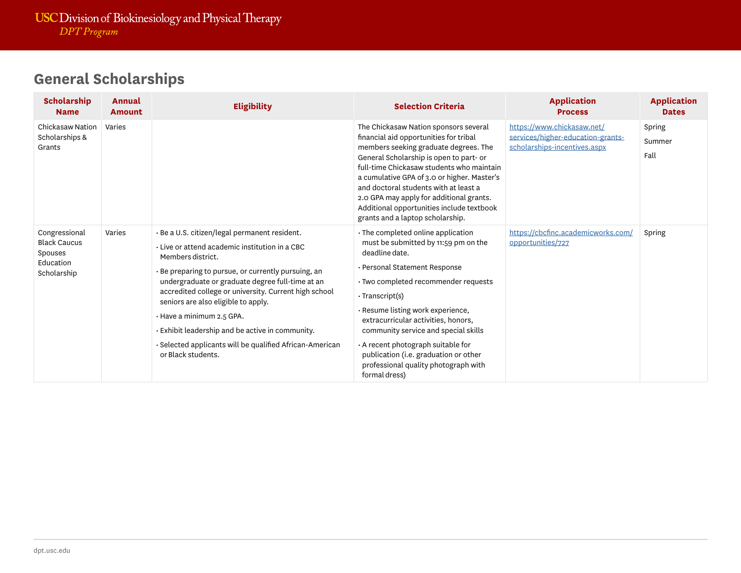| <b>Scholarship</b><br><b>Name</b>                                           | Annual<br><b>Amount</b> | <b>Eligibility</b>                                                                                                                                                                                                                                                                                                                                                                                                                                                                                           | <b>Selection Criteria</b>                                                                                                                                                                                                                                                                                                                                                                                                                        | <b>Application</b><br><b>Process</b>                                                            | <b>Application</b><br><b>Dates</b> |
|-----------------------------------------------------------------------------|-------------------------|--------------------------------------------------------------------------------------------------------------------------------------------------------------------------------------------------------------------------------------------------------------------------------------------------------------------------------------------------------------------------------------------------------------------------------------------------------------------------------------------------------------|--------------------------------------------------------------------------------------------------------------------------------------------------------------------------------------------------------------------------------------------------------------------------------------------------------------------------------------------------------------------------------------------------------------------------------------------------|-------------------------------------------------------------------------------------------------|------------------------------------|
| <b>Chickasaw Nation</b><br>Scholarships &<br>Grants                         | Varies                  |                                                                                                                                                                                                                                                                                                                                                                                                                                                                                                              | The Chickasaw Nation sponsors several<br>financial aid opportunities for tribal<br>members seeking graduate degrees. The<br>General Scholarship is open to part- or<br>full-time Chickasaw students who maintain<br>a cumulative GPA of 3.0 or higher. Master's<br>and doctoral students with at least a<br>2.0 GPA may apply for additional grants.<br>Additional opportunities include textbook<br>grants and a laptop scholarship.            | https://www.chickasaw.net/<br>services/higher-education-grants-<br>scholarships-incentives.aspx | Spring<br>Summer<br>Fall           |
| Congressional<br><b>Black Caucus</b><br>Spouses<br>Education<br>Scholarship | Varies                  | · Be a U.S. citizen/legal permanent resident.<br>Live or attend academic institution in a CBC<br>Members district.<br>· Be preparing to pursue, or currently pursuing, an<br>undergraduate or graduate degree full-time at an<br>accredited college or university. Current high school<br>seniors are also eligible to apply.<br>$\cdot$ Have a minimum 2.5 GPA.<br>$\cdot$ Exhibit leadership and be active in community.<br>· Selected applicants will be qualified African-American<br>or Black students. | · The completed online application<br>must be submitted by 11:59 pm on the<br>deadline date.<br>· Personal Statement Response<br>· Two completed recommender requests<br>· Transcript(s)<br>Resume listing work experience,<br>extracurricular activities, honors,<br>community service and special skills<br>A recent photograph suitable for<br>publication (i.e. graduation or other<br>professional quality photograph with<br>formal dress) | https://cbcfinc.academicworks.com/<br>opportunities/727                                         | Spring                             |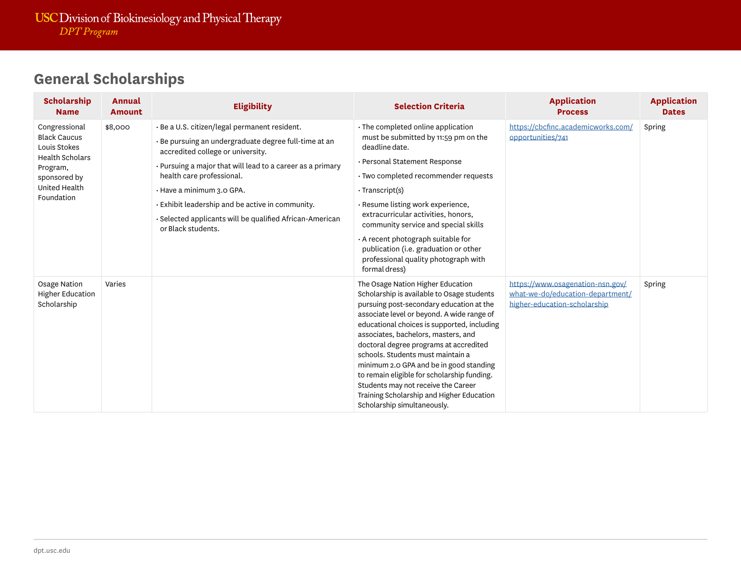| <b>Scholarship</b><br><b>Name</b>                                                                                                         | Annual<br><b>Amount</b> | <b>Eligibility</b>                                                                                                                                                                                                                                                                                                                                                                                                          | <b>Selection Criteria</b>                                                                                                                                                                                                                                                                                                                                                                                                                                                                                                                                                    | <b>Application</b><br><b>Process</b>                                                                 | <b>Application</b><br><b>Dates</b> |
|-------------------------------------------------------------------------------------------------------------------------------------------|-------------------------|-----------------------------------------------------------------------------------------------------------------------------------------------------------------------------------------------------------------------------------------------------------------------------------------------------------------------------------------------------------------------------------------------------------------------------|------------------------------------------------------------------------------------------------------------------------------------------------------------------------------------------------------------------------------------------------------------------------------------------------------------------------------------------------------------------------------------------------------------------------------------------------------------------------------------------------------------------------------------------------------------------------------|------------------------------------------------------------------------------------------------------|------------------------------------|
| Congressional<br><b>Black Caucus</b><br>Louis Stokes<br><b>Health Scholars</b><br>Program,<br>sponsored by<br>United Health<br>Foundation | \$8,000                 | · Be a U.S. citizen/legal permanent resident.<br>$\cdot$ Be pursuing an undergraduate degree full-time at an<br>accredited college or university.<br>$\cdot$ Pursuing a major that will lead to a career as a primary<br>health care professional.<br>· Have a minimum 3.0 GPA.<br>$\cdot$ Exhibit leadership and be active in community.<br>· Selected applicants will be qualified African-American<br>or Black students. | · The completed online application<br>must be submitted by 11:59 pm on the<br>deadline date.<br>· Personal Statement Response<br>· Two completed recommender requests<br>$\cdot$ Transcript(s)<br>· Resume listing work experience,<br>extracurricular activities, honors,<br>community service and special skills<br>A recent photograph suitable for<br>publication (i.e. graduation or other<br>professional quality photograph with                                                                                                                                      | https://cbcfinc.academicworks.com/<br>opportunities/741                                              | Spring                             |
| Osage Nation<br><b>Higher Education</b><br>Scholarship                                                                                    | Varies                  |                                                                                                                                                                                                                                                                                                                                                                                                                             | formal dress)<br>The Osage Nation Higher Education<br>Scholarship is available to Osage students<br>pursuing post-secondary education at the<br>associate level or beyond. A wide range of<br>educational choices is supported, including<br>associates, bachelors, masters, and<br>doctoral degree programs at accredited<br>schools. Students must maintain a<br>minimum 2.0 GPA and be in good standing<br>to remain eligible for scholarship funding.<br>Students may not receive the Career<br>Training Scholarship and Higher Education<br>Scholarship simultaneously. | https://www.osagenation-nsn.gov/<br>what-we-do/education-department/<br>higher-education-scholarship | Spring                             |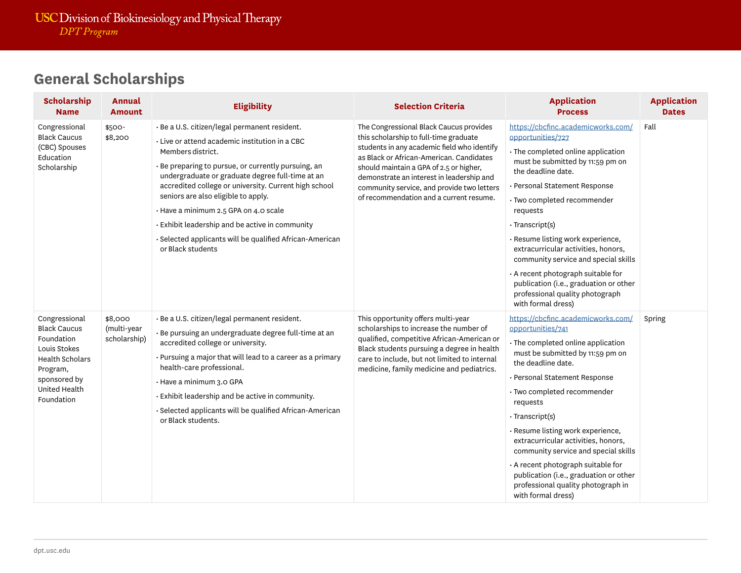| <b>Scholarship</b><br><b>Name</b>                                                                                                                       | <b>Annual</b><br><b>Amount</b>         | <b>Eligibility</b>                                                                                                                                                                                                                                                                                                                                                                                                                                                                                         | <b>Selection Criteria</b>                                                                                                                                                                                                                                                                                                                                     | <b>Application</b><br><b>Process</b>                                                                                                                                                                                                                                                                                                                                                                                                                                                                                            | <b>Application</b><br><b>Dates</b> |
|---------------------------------------------------------------------------------------------------------------------------------------------------------|----------------------------------------|------------------------------------------------------------------------------------------------------------------------------------------------------------------------------------------------------------------------------------------------------------------------------------------------------------------------------------------------------------------------------------------------------------------------------------------------------------------------------------------------------------|---------------------------------------------------------------------------------------------------------------------------------------------------------------------------------------------------------------------------------------------------------------------------------------------------------------------------------------------------------------|---------------------------------------------------------------------------------------------------------------------------------------------------------------------------------------------------------------------------------------------------------------------------------------------------------------------------------------------------------------------------------------------------------------------------------------------------------------------------------------------------------------------------------|------------------------------------|
| Congressional<br><b>Black Caucus</b><br>(CBC) Spouses<br>Education<br>Scholarship                                                                       | \$500-<br>\$8,200                      | · Be a U.S. citizen/legal permanent resident.<br>· Live or attend academic institution in a CBC<br>Members district.<br>· Be preparing to pursue, or currently pursuing, an<br>undergraduate or graduate degree full-time at an<br>accredited college or university. Current high school<br>seniors are also eligible to apply.<br>· Have a minimum 2.5 GPA on 4.0 scale<br>Exhibit leadership and be active in community<br>· Selected applicants will be qualified African-American<br>or Black students | The Congressional Black Caucus provides<br>this scholarship to full-time graduate<br>students in any academic field who identify<br>as Black or African-American. Candidates<br>should maintain a GPA of 2.5 or higher,<br>demonstrate an interest in leadership and<br>community service, and provide two letters<br>of recommendation and a current resume. | https://cbcfinc.academicworks.com/<br>opportunities/727<br>· The completed online application<br>must be submitted by 11:59 pm on<br>the deadline date.<br>· Personal Statement Response<br>· Two completed recommender<br>requests<br>$\cdot$ Transcript(s)<br>· Resume listing work experience,<br>extracurricular activities, honors,<br>community service and special skills<br>$\cdot$ A recent photograph suitable for<br>publication (i.e., graduation or other<br>professional quality photograph<br>with formal dress) | Fall                               |
| Congressional<br><b>Black Caucus</b><br>Foundation<br>Louis Stokes<br><b>Health Scholars</b><br>Program,<br>sponsored by<br>United Health<br>Foundation | \$8,000<br>(multi-year<br>scholarship) | · Be a U.S. citizen/legal permanent resident.<br>· Be pursuing an undergraduate degree full-time at an<br>accredited college or university.<br>• Pursuing a major that will lead to a career as a primary<br>health-care professional.<br>· Have a minimum 3.0 GPA<br>· Exhibit leadership and be active in community.<br>· Selected applicants will be qualified African-American<br>or Black students.                                                                                                   | This opportunity offers multi-year<br>scholarships to increase the number of<br>qualified, competitive African-American or<br>Black students pursuing a degree in health<br>care to include, but not limited to internal<br>medicine, family medicine and pediatrics.                                                                                         | https://cbcfinc.academicworks.com/<br>opportunities/741<br>· The completed online application<br>must be submitted by 11:59 pm on<br>the deadline date.<br>· Personal Statement Response<br>· Two completed recommender<br>requests<br>· Transcript(s)<br>· Resume listing work experience,<br>extracurricular activities, honors,<br>community service and special skills<br>· A recent photograph suitable for<br>publication (i.e., graduation or other<br>professional quality photograph in<br>with formal dress)          | Spring                             |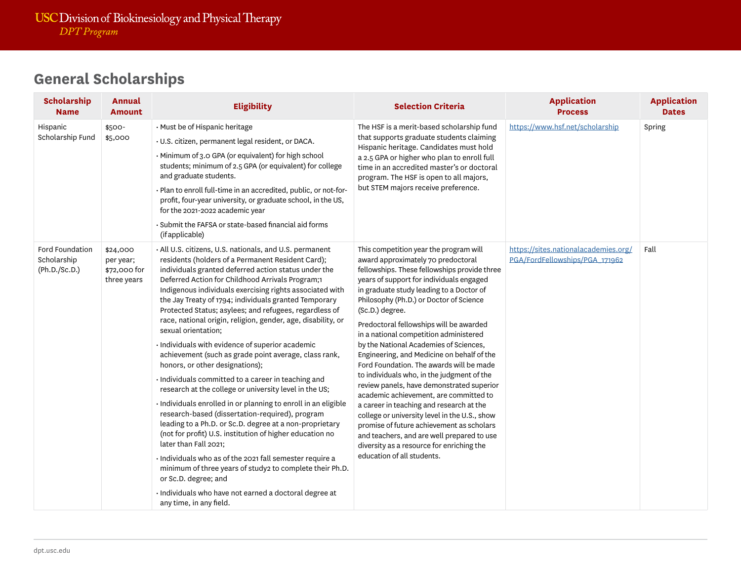| <b>Scholarship</b><br><b>Name</b>               | Annual<br><b>Amount</b>                              | <b>Eligibility</b>                                                                                                                                                                                                                                                                                                                                                                                                                                                                                                                                                                                                                                                                                                                                                                                                                                                                                                                                                                                                                                                                                                                                                                                                                                                        | <b>Selection Criteria</b>                                                                                                                                                                                                                                                                                                                                                                                                                                                                                                                                                                                                                                                                                                                                                                                                                                                                                           | <b>Application</b><br><b>Process</b>                                   | <b>Application</b><br><b>Dates</b> |
|-------------------------------------------------|------------------------------------------------------|---------------------------------------------------------------------------------------------------------------------------------------------------------------------------------------------------------------------------------------------------------------------------------------------------------------------------------------------------------------------------------------------------------------------------------------------------------------------------------------------------------------------------------------------------------------------------------------------------------------------------------------------------------------------------------------------------------------------------------------------------------------------------------------------------------------------------------------------------------------------------------------------------------------------------------------------------------------------------------------------------------------------------------------------------------------------------------------------------------------------------------------------------------------------------------------------------------------------------------------------------------------------------|---------------------------------------------------------------------------------------------------------------------------------------------------------------------------------------------------------------------------------------------------------------------------------------------------------------------------------------------------------------------------------------------------------------------------------------------------------------------------------------------------------------------------------------------------------------------------------------------------------------------------------------------------------------------------------------------------------------------------------------------------------------------------------------------------------------------------------------------------------------------------------------------------------------------|------------------------------------------------------------------------|------------------------------------|
| Hispanic<br>Scholarship Fund                    | \$500-<br>\$5,000                                    | · Must be of Hispanic heritage<br>· U.S. citizen, permanent legal resident, or DACA.<br>· Minimum of 3.0 GPA (or equivalent) for high school<br>students; minimum of 2.5 GPA (or equivalent) for college<br>and graduate students.<br>· Plan to enroll full-time in an accredited, public, or not-for-<br>profit, four-year university, or graduate school, in the US,<br>for the 2021-2022 academic year<br>· Submit the FAFSA or state-based financial aid forms<br>(if applicable)                                                                                                                                                                                                                                                                                                                                                                                                                                                                                                                                                                                                                                                                                                                                                                                     | The HSF is a merit-based scholarship fund<br>that supports graduate students claiming<br>Hispanic heritage. Candidates must hold<br>a 2.5 GPA or higher who plan to enroll full<br>time in an accredited master's or doctoral<br>program. The HSF is open to all majors,<br>but STEM majors receive preference.                                                                                                                                                                                                                                                                                                                                                                                                                                                                                                                                                                                                     | https://www.hsf.net/scholarship                                        | Spring                             |
| Ford Foundation<br>Scholarship<br>(Ph.D./Sc.D.) | \$24,000<br>per year;<br>\$72,000 for<br>three years | · All U.S. citizens, U.S. nationals, and U.S. permanent<br>residents (holders of a Permanent Resident Card);<br>individuals granted deferred action status under the<br>Deferred Action for Childhood Arrivals Program;1<br>Indigenous individuals exercising rights associated with<br>the Jay Treaty of 1794; individuals granted Temporary<br>Protected Status; asylees; and refugees, regardless of<br>race, national origin, religion, gender, age, disability, or<br>sexual orientation;<br>· Individuals with evidence of superior academic<br>achievement (such as grade point average, class rank,<br>honors, or other designations);<br>· Individuals committed to a career in teaching and<br>research at the college or university level in the US;<br>· Individuals enrolled in or planning to enroll in an eligible<br>research-based (dissertation-required), program<br>leading to a Ph.D. or Sc.D. degree at a non-proprietary<br>(not for profit) U.S. institution of higher education no<br>later than Fall 2021;<br>· Individuals who as of the 2021 fall semester require a<br>minimum of three years of study2 to complete their Ph.D.<br>or Sc.D. degree; and<br>· Individuals who have not earned a doctoral degree at<br>any time, in any field. | This competition year the program will<br>award approximately 70 predoctoral<br>fellowships. These fellowships provide three<br>years of support for individuals engaged<br>in graduate study leading to a Doctor of<br>Philosophy (Ph.D.) or Doctor of Science<br>(Sc.D.) degree.<br>Predoctoral fellowships will be awarded<br>in a national competition administered<br>by the National Academies of Sciences,<br>Engineering, and Medicine on behalf of the<br>Ford Foundation. The awards will be made<br>to individuals who, in the judgment of the<br>review panels, have demonstrated superior<br>academic achievement, are committed to<br>a career in teaching and research at the<br>college or university level in the U.S., show<br>promise of future achievement as scholars<br>and teachers, and are well prepared to use<br>diversity as a resource for enriching the<br>education of all students. | https://sites.nationalacademies.org/<br>PGA/FordFellowships/PGA_171962 | Fall                               |